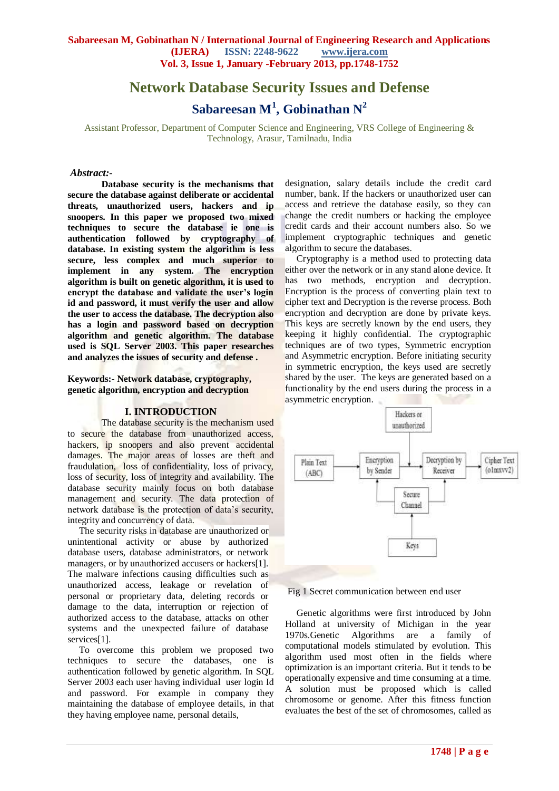# **Network Database Security Issues and Defense Sabareesan M<sup>1</sup> , Gobinathan N<sup>2</sup>**

Assistant Professor, Department of Computer Science and Engineering, VRS College of Engineering & Technology, Arasur, Tamilnadu, India

#### *Abstract:-*

**Database security is the mechanisms that secure the database against deliberate or accidental threats, unauthorized users, hackers and ip snoopers. In this paper we proposed two mixed techniques to secure the database ie one is authentication followed by cryptography of database. In existing system the algorithm is less secure, less complex and much superior to implement in any system. The encryption algorithm is built on genetic algorithm, it is used to encrypt the database and validate the user's login id and password, it must verify the user and allow the user to access the database. The decryption also has a login and password based on decryption algorithm and genetic algorithm. The database used is SQL Server 2003. This paper researches and analyzes the issues of security and defense .**

**Keywords:- Network database, cryptography, genetic algorithm, encryption and decryption**

#### **I. INTRODUCTION**

 The database security is the mechanism used to secure the database from unauthorized access, hackers, ip snoopers and also prevent accidental damages. The major areas of losses are theft and fraudulation, loss of confidentiality, loss of privacy, loss of security, loss of integrity and availability. The database security mainly focus on both database management and security. The data protection of network database is the protection of data's security, integrity and concurrency of data.

 The security risks in database are unauthorized or unintentional activity or abuse by authorized database users, database administrators, or network managers, or by unauthorized accusers or hackers[1]. The malware infections causing difficulties such as unauthorized access, leakage or revelation of personal or proprietary data, deleting records or damage to the data, interruption or rejection of authorized access to the database, attacks on other systems and the unexpected failure of database services<sup>[1]</sup>.

 To overcome this problem we proposed two techniques to secure the databases, one is authentication followed by genetic algorithm. In SQL Server 2003 each user having individual user login Id and password. For example in company they maintaining the database of employee details, in that they having employee name, personal details,

designation, salary details include the credit card number, bank. If the hackers or unauthorized user can access and retrieve the database easily, so they can change the credit numbers or hacking the employee credit cards and their account numbers also. So we implement cryptographic techniques and genetic algorithm to secure the databases.

 Cryptography is a method used to protecting data either over the network or in any stand alone device. It has two methods, encryption and decryption. Encryption is the process of converting plain text to cipher text and Decryption is the reverse process. Both encryption and decryption are done by private keys. This keys are secretly known by the end users, they keeping it highly confidential. The cryptographic techniques are of two types, Symmetric encryption and Asymmetric encryption. Before initiating security in symmetric encryption, the keys used are secretly shared by the user. The keys are generated based on a functionality by the end users during the process in a asymmetric encryption.



Fig 1 Secret communication between end user

 Genetic algorithms were first introduced by John Holland at university of Michigan in the year 1970s.Genetic Algorithms are a family of computational models stimulated by evolution. This algorithm used most often in the fields where optimization is an important criteria. But it tends to be operationally expensive and time consuming at a time. A solution must be proposed which is called chromosome or genome. After this fitness function evaluates the best of the set of chromosomes, called as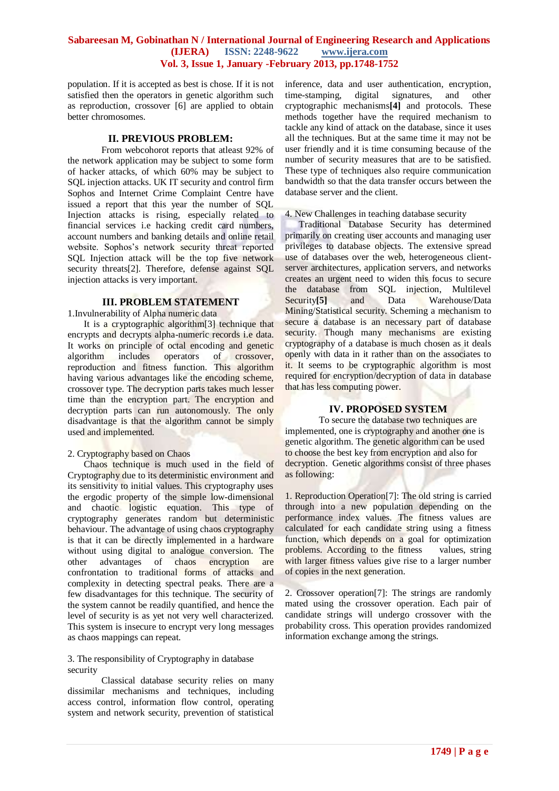population. If it is accepted as best is chose. If it is not satisfied then the operators in genetic algorithm such as reproduction, crossover [6] are applied to obtain better chromosomes.

#### **II. PREVIOUS PROBLEM:**

 From webcohorot reports that atleast 92% of the network application may be subject to some form of hacker attacks, of which 60% may be subject to SQL injection attacks. UK IT security and control firm Sophos and Internet Crime Complaint Centre have issued a report that this year the number of SQL Injection attacks is rising, especially related to financial services i.e hacking credit card numbers, account numbers and banking details and online retail website. Sophos's network security threat reported SQL Injection attack will be the top five network security threats<sup>[2]</sup>. Therefore, defense against SOL injection attacks is very important.

## **III. PROBLEM STATEMENT**

1.Invulnerability of Alpha numeric data

 It is a cryptographic algorithm[3] technique that encrypts and decrypts alpha-numeric records i.e data. It works on principle of octal encoding and genetic algorithm includes operators of crossover, reproduction and fitness function. This algorithm having various advantages like the encoding scheme, crossover type. The decryption parts takes much lesser time than the encryption part. The encryption and decryption parts can run autonomously. The only disadvantage is that the algorithm cannot be simply used and implemented.

## 2. Cryptography based on Chaos

 Chaos technique is much used in the field of Cryptography due to its deterministic environment and its sensitivity to initial values. This cryptography uses the ergodic property of the simple low-dimensional and chaotic logistic equation. This type of cryptography generates random but deterministic behaviour. The advantage of using chaos cryptography is that it can be directly implemented in a hardware without using digital to analogue conversion. The other advantages of chaos encryption are confrontation to traditional forms of attacks and complexity in detecting spectral peaks. There are a few disadvantages for this technique. The security of the system cannot be readily quantified, and hence the level of security is as yet not very well characterized. This system is insecure to encrypt very long messages as chaos mappings can repeat.

## 3. The responsibility of Cryptography in database security

Classical database security relies on many dissimilar mechanisms and techniques, including access control, information flow control, operating system and network security, prevention of statistical inference, data and user authentication, encryption, time-stamping, digital signatures, and other cryptographic mechanisms**[4]** and protocols. These methods together have the required mechanism to tackle any kind of attack on the database, since it uses all the techniques. But at the same time it may not be user friendly and it is time consuming because of the number of security measures that are to be satisfied. These type of techniques also require communication bandwidth so that the data transfer occurs between the database server and the client.

#### 4. New Challenges in teaching database security

 Traditional Database Security has determined primarily on creating user accounts and managing user privileges to database objects. The extensive spread use of databases over the web, heterogeneous clientserver architectures, application servers, and networks creates an urgent need to widen this focus to secure the database from SQL injection, Multilevel Security<sup>[5]</sup> and Data Warehouse/Data Mining/Statistical security. Scheming a mechanism to secure a database is an necessary part of database security. Though many mechanisms are existing cryptography of a database is much chosen as it deals openly with data in it rather than on the associates to it. It seems to be cryptographic algorithm is most required for encryption/decryption of data in database that has less computing power.

## **IV. PROPOSED SYSTEM**

To secure the database two techniques are implemented, one is cryptography and another one is genetic algorithm. The genetic algorithm can be used to choose the best key from encryption and also for decryption. Genetic algorithms consist of three phases as following:

1. Reproduction Operation[7]: The old string is carried through into a new population depending on the performance index values. The fitness values are calculated for each candidate string using a fitness function, which depends on a goal for optimization problems. According to the fitness values, string with larger fitness values give rise to a larger number of copies in the next generation.

2. Crossover operation[7]: The strings are randomly mated using the crossover operation. Each pair of candidate strings will undergo crossover with the probability cross. This operation provides randomized information exchange among the strings.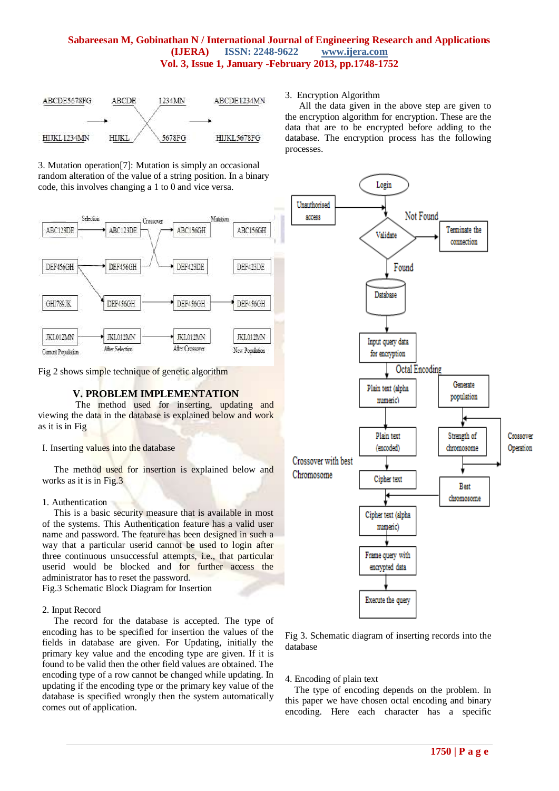

3. Mutation operation[7]: Mutation is simply an occasional random alteration of the value of a string position. In a binary code, this involves changing a 1 to 0 and vice versa.



Fig 2 shows simple technique of genetic algorithm

## **V. PROBLEM IMPLEMENTATION**

 The method used for inserting, updating and viewing the data in the database is explained below and work as it is in Fig

I. Inserting values into the database

 The method used for insertion is explained below and works as it is in Fig.3

## 1. Authentication

This is a basic security measure that is available in most of the systems. This Authentication feature has a valid user name and password. The feature has been designed in such a way that a particular userid cannot be used to login after three continuous unsuccessful attempts, i.e., that particular userid would be blocked and for further access the administrator has to reset the password.

Fig.3 Schematic Block Diagram for Insertion

## 2. Input Record

 The record for the database is accepted. The type of encoding has to be specified for insertion the values of the fields in database are given. For Updating, initially the primary key value and the encoding type are given. If it is found to be valid then the other field values are obtained. The encoding type of a row cannot be changed while updating. In updating if the encoding type or the primary key value of the database is specified wrongly then the system automatically comes out of application.

#### 3. Encryption Algorithm

 All the data given in the above step are given to the encryption algorithm for encryption. These are the data that are to be encrypted before adding to the database. The encryption process has the following processes.



Fig 3. Schematic diagram of inserting records into the database

4. Encoding of plain text

 The type of encoding depends on the problem. In this paper we have chosen octal encoding and binary encoding. Here each character has a specific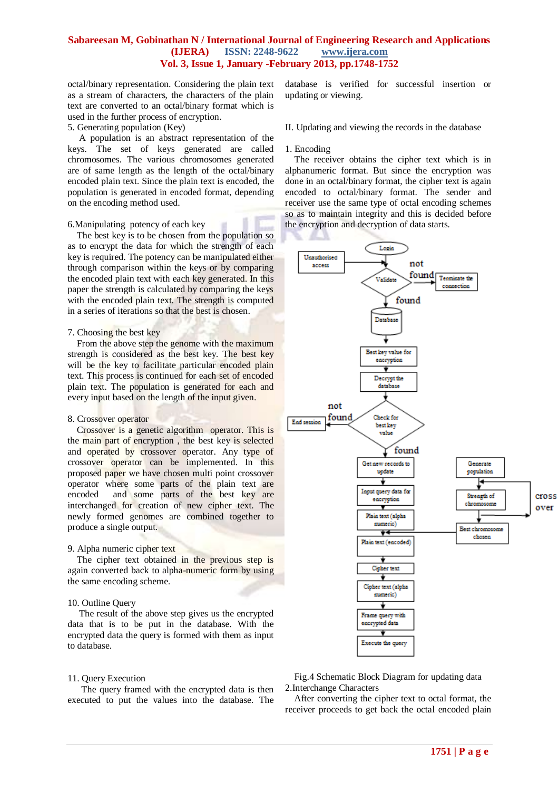octal/binary representation. Considering the plain text as a stream of characters, the characters of the plain text are converted to an octal/binary format which is used in the further process of encryption.

#### 5. Generating population (Key)

 A population is an abstract representation of the keys. The set of keys generated are called chromosomes. The various chromosomes generated are of same length as the length of the octal/binary encoded plain text. Since the plain text is encoded, the population is generated in encoded format, depending on the encoding method used.

#### 6.Manipulating potency of each key

 The best key is to be chosen from the population so as to encrypt the data for which the strength of each key is required. The potency can be manipulated either through comparison within the keys or by comparing the encoded plain text with each key generated. In this paper the strength is calculated by comparing the keys with the encoded plain text. The strength is computed in a series of iterations so that the best is chosen.

#### 7. Choosing the best key

 From the above step the genome with the maximum strength is considered as the best key. The best key will be the key to facilitate particular encoded plain text. This process is continued for each set of encoded plain text. The population is generated for each and every input based on the length of the input given.

#### 8. Crossover operator

 Crossover is a genetic algorithm operator. This is the main part of encryption , the best key is selected and operated by crossover operator. Any type of crossover operator can be implemented. In this proposed paper we have chosen multi point crossover operator where some parts of the plain text are encoded and some parts of the best key are interchanged for creation of new cipher text. The newly formed genomes are combined together to produce a single output.

#### 9. Alpha numeric cipher text

 The cipher text obtained in the previous step is again converted back to alpha-numeric form by using the same encoding scheme.

#### 10. Outline Query

 The result of the above step gives us the encrypted data that is to be put in the database. With the encrypted data the query is formed with them as input to database.

#### 11. Query Execution

 The query framed with the encrypted data is then executed to put the values into the database. The database is verified for successful insertion or updating or viewing.

II. Updating and viewing the records in the database

#### 1. Encoding

 The receiver obtains the cipher text which is in alphanumeric format. But since the encryption was done in an octal/binary format, the cipher text is again encoded to octal/binary format. The sender and receiver use the same type of octal encoding schemes so as to maintain integrity and this is decided before the encryption and decryption of data starts.



Fig.4 Schematic Block Diagram for updating data 2.Interchange Characters

 After converting the cipher text to octal format, the receiver proceeds to get back the octal encoded plain